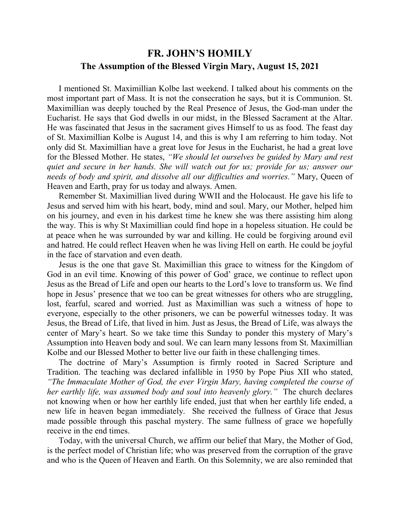## **FR. JOHN'S HOMILY The Assumption of the Blessed Virgin Mary, August 15, 2021**

 I mentioned St. Maximillian Kolbe last weekend. I talked about his comments on the most important part of Mass. It is not the consecration he says, but it is Communion. St. Maximillian was deeply touched by the Real Presence of Jesus, the God-man under the Eucharist. He says that God dwells in our midst, in the Blessed Sacrament at the Altar. He was fascinated that Jesus in the sacrament gives Himself to us as food. The feast day of St. Maximillian Kolbe is August 14, and this is why I am referring to him today. Not only did St. Maximillian have a great love for Jesus in the Eucharist, he had a great love for the Blessed Mother. He states, *"We should let ourselves be guided by Mary and rest quiet and secure in her hands. She will watch out for us; provide for us; answer our needs of body and spirit, and dissolve all our difficulties and worries."* Mary, Queen of Heaven and Earth, pray for us today and always. Amen.

 Remember St. Maximillian lived during WWII and the Holocaust. He gave his life to Jesus and served him with his heart, body, mind and soul. Mary, our Mother, helped him on his journey, and even in his darkest time he knew she was there assisting him along the way. This is why St Maximillian could find hope in a hopeless situation. He could be at peace when he was surrounded by war and killing. He could be forgiving around evil and hatred. He could reflect Heaven when he was living Hell on earth. He could be joyful in the face of starvation and even death.

 Jesus is the one that gave St. Maximillian this grace to witness for the Kingdom of God in an evil time. Knowing of this power of God' grace, we continue to reflect upon Jesus as the Bread of Life and open our hearts to the Lord's love to transform us. We find hope in Jesus' presence that we too can be great witnesses for others who are struggling, lost, fearful, scared and worried. Just as Maximillian was such a witness of hope to everyone, especially to the other prisoners, we can be powerful witnesses today. It was Jesus, the Bread of Life, that lived in him. Just as Jesus, the Bread of Life, was always the center of Mary's heart. So we take time this Sunday to ponder this mystery of Mary's Assumption into Heaven body and soul. We can learn many lessons from St. Maximillian Kolbe and our Blessed Mother to better live our faith in these challenging times.

 The doctrine of Mary's Assumption is firmly rooted in Sacred Scripture and Tradition. The teaching was declared infallible in 1950 by Pope Pius XII who stated, *"The Immaculate Mother of God, the ever Virgin Mary, having completed the course of her earthly life, was assumed body and soul into heavenly glory."* The church declares not knowing when or how her earthly life ended, just that when her earthly life ended, a new life in heaven began immediately. She received the fullness of Grace that Jesus made possible through this paschal mystery. The same fullness of grace we hopefully receive in the end times.

 Today, with the universal Church, we affirm our belief that Mary, the Mother of God, is the perfect model of Christian life; who was preserved from the corruption of the grave and who is the Queen of Heaven and Earth. On this Solemnity, we are also reminded that